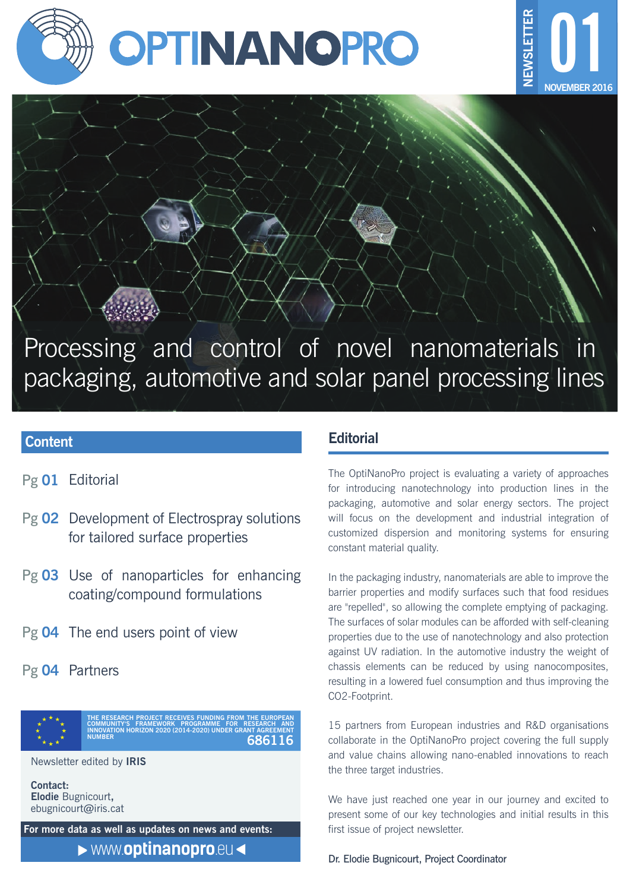



Processing and control of novel nanomaterials in packaging, automotive and solar panel processing lines

# **Content**

- Pg 01 Editorial
- Pg 02 Development of Electrospray solutions for tailored surface properties
- Pg 03 Use of nanoparticles for enhancing coating/compound formulations
- Pg 04 The end users point of view
- Pg 04 Partners



Newsletter edited by **IRIS**

**Contact: Elodie** Bugnicourt**,** ebugnicourt**@**iris.cat

**For more data as well as updates on news and events:**

www.**[optinanopro](http://optinanopro.eu/)**.eu

# **Editorial**

The OptiNanoPro project is evaluating a variety of approaches for introducing nanotechnology into production lines in the packaging, automotive and solar energy sectors. The project will focus on the development and industrial integration of customized dispersion and monitoring systems for ensuring constant material quality.

In the packaging industry, nanomaterials are able to improve the barrier properties and modify surfaces such that food residues are "repelled", so allowing the complete emptying of packaging. The surfaces of solar modules can be afforded with self-cleaning properties due to the use of nanotechnology and also protection against UV radiation. In the automotive industry the weight of chassis elements can be reduced by using nanocomposites, resulting in a lowered fuel consumption and thus improving the CO2-Footprint.

15 partners from European industries and R&D organisations collaborate in the OptiNanoPro project covering the full supply and value chains allowing nano-enabled innovations to reach the three target industries.

We have just reached one year in our journey and excited to present some of our key technologies and initial results in this first issue of project newsletter.

Dr. Elodie Bugnicourt, Project Coordinator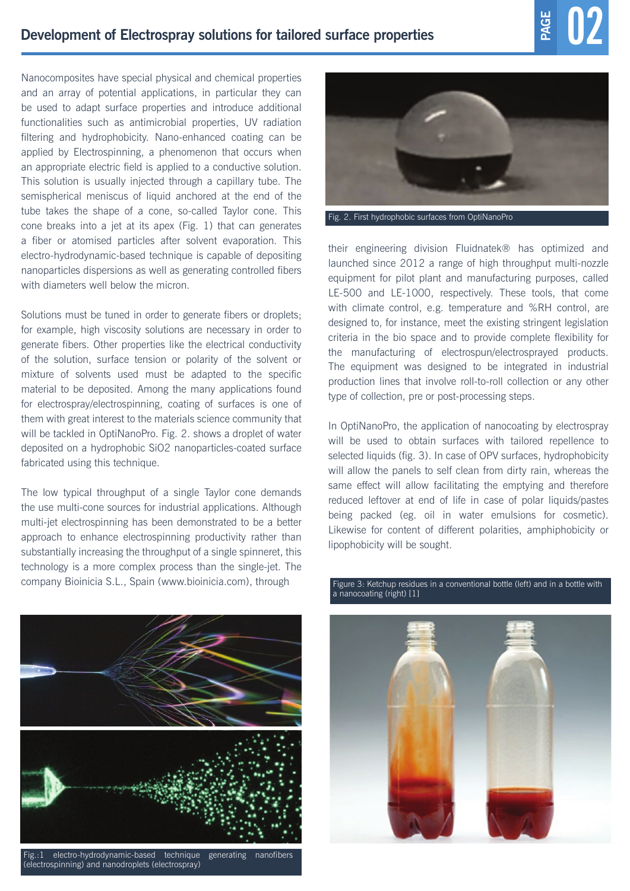Nanocomposites have special physical and chemical properties and an array of potential applications, in particular they can be used to adapt surface properties and introduce additional functionalities such as antimicrobial properties, UV radiation filtering and hydrophobicity. Nano-enhanced coating can be applied by Electrospinning, a phenomenon that occurs when an appropriate electric field is applied to a conductive solution. This solution is usually injected through a capillary tube. The semispherical meniscus of liquid anchored at the end of the tube takes the shape of a cone, so-called Taylor cone. This cone breaks into a jet at its apex (Fig. 1) that can generates a fiber or atomised particles after solvent evaporation. This electro-hydrodynamic-based technique is capable of depositing nanoparticles dispersions as well as generating controlled fibers with diameters well below the micron.

Solutions must be tuned in order to generate fibers or droplets; for example, high viscosity solutions are necessary in order to generate fibers. Other properties like the electrical conductivity of the solution, surface tension or polarity of the solvent or mixture of solvents used must be adapted to the specific material to be deposited. Among the many applications found for electrospray/electrospinning, coating of surfaces is one of them with great interest to the materials science community that will be tackled in OptiNanoPro. Fig. 2. shows a droplet of water deposited on a hydrophobic SiO2 nanoparticles-coated surface fabricated using this technique.

The low typical throughput of a single Taylor cone demands the use multi-cone sources for industrial applications. Although multi-jet electrospinning has been demonstrated to be a better approach to enhance electrospinning productivity rather than substantially increasing the throughput of a single spinneret, this technology is a more complex process than the single-jet. The company Bioinicia S.L., Spain (www.bioinicia.com), through



Fig.:1 electro-hydrodynamic-based technique generating nanofibers (electrospinning) and nanodroplets (electrospray)



Fig. 2. First hydrophobic surfaces from OptiNanoPro

their engineering division Fluidnatek® has optimized and launched since 2012 a range of high throughput multi-nozzle equipment for pilot plant and manufacturing purposes, called LE-500 and LE-1000, respectively. These tools, that come with climate control, e.g. temperature and %RH control, are designed to, for instance, meet the existing stringent legislation criteria in the bio space and to provide complete flexibility for the manufacturing of electrospun/electrosprayed products. The equipment was designed to be integrated in industrial production lines that involve roll-to-roll collection or any other type of collection, pre or post-processing steps.

In OptiNanoPro, the application of nanocoating by electrospray will be used to obtain surfaces with tailored repellence to selected liquids (fig. 3). In case of OPV surfaces, hydrophobicity will allow the panels to self clean from dirty rain, whereas the same effect will allow facilitating the emptying and therefore reduced leftover at end of life in case of polar liquids/pastes being packed (eg. oil in water emulsions for cosmetic). Likewise for content of different polarities, amphiphobicity or lipophobicity will be sought.



#### Figure 3: Ketchup residues in a conventional bottle (left) and in a bottle with a nanocoating (right) [1]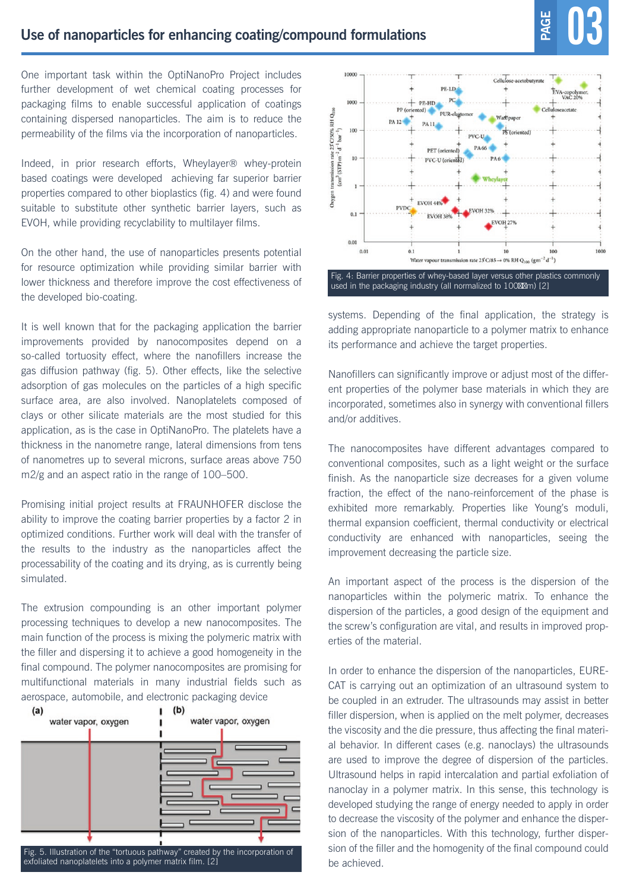One important task within the OptiNanoPro Project includes further development of wet chemical coating processes for packaging films to enable successful application of coatings containing dispersed nanoparticles. The aim is to reduce the permeability of the films via the incorporation of nanoparticles.

Indeed, in prior research efforts, Wheylayer® whey-protein based coatings were developed achieving far superior barrier properties compared to other bioplastics (fig. 4) and were found suitable to substitute other synthetic barrier layers, such as EVOH, while providing recyclability to multilayer films.

On the other hand, the use of nanoparticles presents potential for resource optimization while providing similar barrier with lower thickness and therefore improve the cost effectiveness of the developed bio-coating.

It is well known that for the packaging application the barrier improvements provided by nanocomposites depend on a so-called tortuosity effect, where the nanofillers increase the gas diffusion pathway (fig. 5). Other effects, like the selective adsorption of gas molecules on the particles of a high specific surface area, are also involved. Nanoplatelets composed of clays or other silicate materials are the most studied for this application, as is the case in OptiNanoPro. The platelets have a thickness in the nanometre range, lateral dimensions from tens of nanometres up to several microns, surface areas above 750 m2/g and an aspect ratio in the range of 100–500.

Promising initial project results at FRAUNHOFER disclose the ability to improve the coating barrier properties by a factor 2 in optimized conditions. Further work will deal with the transfer of the results to the industry as the nanoparticles affect the processability of the coating and its drying, as is currently being simulated.

The extrusion compounding is an other important polymer processing techniques to develop a new nanocomposites. The main function of the process is mixing the polymeric matrix with the filler and dispersing it to achieve a good homogeneity in the final compound. The polymer nanocomposites are promising for multifunctional materials in many industrial fields such as aerospace, automobile, and electronic packaging device

![](_page_2_Figure_8.jpeg)

Fig. 5. Illustration of the "tortuous pathway" created by the incorporation of exfoliated nanoplatelets into a polymer matrix film. [2]

![](_page_2_Figure_10.jpeg)

systems. Depending of the final application, the strategy is adding appropriate nanoparticle to a polymer matrix to enhance its performance and achieve the target properties.

Nanofillers can significantly improve or adjust most of the different properties of the polymer base materials in which they are incorporated, sometimes also in synergy with conventional fillers and/or additives.

The nanocomposites have different advantages compared to conventional composites, such as a light weight or the surface finish. As the nanoparticle size decreases for a given volume fraction, the effect of the nano-reinforcement of the phase is exhibited more remarkably. Properties like Young's moduli, thermal expansion coefficient, thermal conductivity or electrical conductivity are enhanced with nanoparticles, seeing the improvement decreasing the particle size.

An important aspect of the process is the dispersion of the nanoparticles within the polymeric matrix. To enhance the dispersion of the particles, a good design of the equipment and the screw's configuration are vital, and results in improved properties of the material.

In order to enhance the dispersion of the nanoparticles, EURE-CAT is carrying out an optimization of an ultrasound system to be coupled in an extruder. The ultrasounds may assist in better filler dispersion, when is applied on the melt polymer, decreases the viscosity and the die pressure, thus affecting the final material behavior. In different cases (e.g. nanoclays) the ultrasounds are used to improve the degree of dispersion of the particles. Ultrasound helps in rapid intercalation and partial exfoliation of nanoclay in a polymer matrix. In this sense, this technology is developed studying the range of energy needed to apply in order to decrease the viscosity of the polymer and enhance the dispersion of the nanoparticles. With this technology, further dispersion of the filler and the homogenity of the final compound could be achieved.